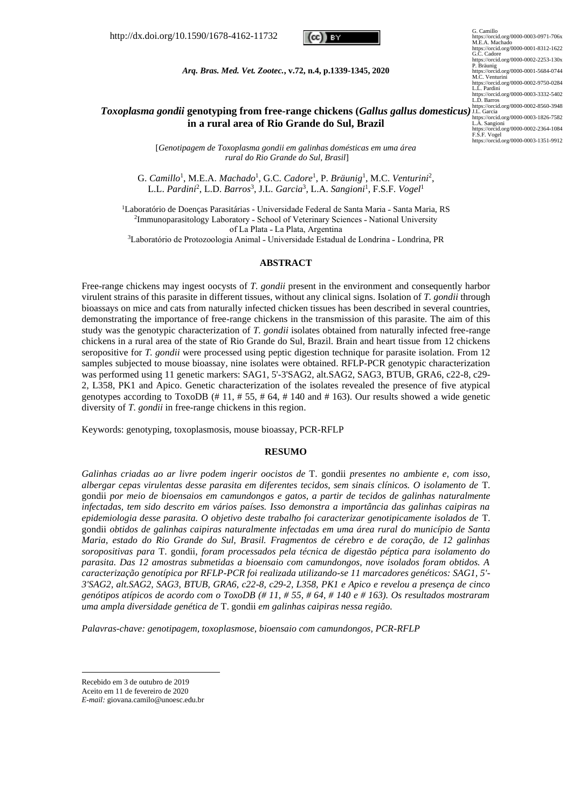http://dx.doi.org/10.1590/1678-4162-11732



*Arq. Bras. Med. Vet. Zootec.***, v.72, n.4, p.1339-1345, 2020**

# *Toxoplasma gondii* **genotyping from free-range chickens (***Gallus gallus domesticus)*  https://orcid.org/0000-0002-8560-3948 J.L. Garcia **in a rural area of Rio Grande do Sul, Brazil**

[*Genotipagem de Toxoplasma gondii em galinhas domésticas em uma área rural do Rio Grande do Sul, Brasil*]

G. Camillo<sup>1</sup>, M.E.A. *Machado<sup>1</sup>*, G.C. Cadore<sup>1</sup>, P. Bräunig<sup>1</sup>, M.C. Venturini<sup>2</sup>, L.L. *Pardini*<sup>2</sup> , L.D. *Barros*<sup>3</sup> , J.L. *Garcia*<sup>3</sup> , L.A. *Sangioni*<sup>1</sup> , F.S.F. *Vogel*<sup>1</sup>

<sup>1</sup>Laboratório de Doenças Parasitárias - Universidade Federal de Santa Maria - Santa Maria, RS <sup>2</sup>Immunoparasitology Laboratory - School of Veterinary Sciences - National University of La Plata - La Plata, Argentina

<sup>3</sup>Laboratório de Protozoologia Animal - Universidade Estadual de Londrina - Londrina, PR

#### **ABSTRACT**

Free-range chickens may ingest oocysts of *T. gondii* present in the environment and consequently harbor virulent strains of this parasite in different tissues, without any clinical signs. Isolation of *T. gondii* through bioassays on mice and cats from naturally infected chicken tissues has been described in several countries, demonstrating the importance of free-range chickens in the transmission of this parasite. The aim of this study was the genotypic characterization of *T. gondii* isolates obtained from naturally infected free-range chickens in a rural area of the state of Rio Grande do Sul, Brazil. Brain and heart tissue from 12 chickens seropositive for *T. gondii* were processed using peptic digestion technique for parasite isolation. From 12 samples subjected to mouse bioassay, nine isolates were obtained. RFLP-PCR genotypic characterization was performed using 11 genetic markers: SAG1, 5'-3'SAG2, alt.SAG2, SAG3, BTUB, GRA6, c22-8, c29- 2, L358, PK1 and Apico. Genetic characterization of the isolates revealed the presence of five atypical genotypes according to ToxoDB (#11, #55, #64, #140 and #163). Our results showed a wide genetic diversity of *T. gondii* in free-range chickens in this region.

Keywords: genotyping, toxoplasmosis, mouse bioassay, PCR-RFLP

#### **RESUMO**

*Galinhas criadas ao ar livre podem ingerir oocistos de* T. gondii *presentes no ambiente e, com isso, albergar cepas virulentas desse parasita em diferentes tecidos, sem sinais clínicos. O isolamento de* T. gondii *por meio de bioensaios em camundongos e gatos, a partir de tecidos de galinhas naturalmente infectadas, tem sido descrito em vários países. Isso demonstra a importância das galinhas caipiras na epidemiologia desse parasita. O objetivo deste trabalho foi caracterizar genotipicamente isolados de* T. gondii *obtidos de galinhas caipiras naturalmente infectadas em uma área rural do município de Santa Maria, estado do Rio Grande do Sul, Brasil. Fragmentos de cérebro e de coração, de 12 galinhas soropositivas para* T. gondii*, foram processados pela técnica de digestão péptica para isolamento do parasita. Das 12 amostras submetidas a bioensaio com camundongos, nove isolados foram obtidos. A caracterização genotípica por RFLP-PCR foi realizada utilizando-se 11 marcadores genéticos: SAG1, 5'- 3'SAG2, alt.SAG2, SAG3, BTUB, GRA6, c22-8, c29-2, L358, PK1 e Apico e revelou a presença de cinco genótipos atípicos de acordo com o ToxoDB (# 11, # 55, # 64, # 140 e # 163). Os resultados mostraram uma ampla diversidade genética de* T. gondii *em galinhas caipiras nessa região.*

*Palavras-chave: genotipagem, toxoplasmose, bioensaio com camundongos, PCR-RFLP*

G. Camillo<br>
(G. Camillong/0000-0003-0971-706x<br>
M.E.A. Machado<br>
https://orcid.org/0000-0001-8312-1622<br>
https://orcid.org/0000-0001-8312-1622<br>
G.C. Cadore<br>
Https://orcid.org/0000-0002-2253-130x<br>
P. Präming<br>
M.C. Venturini<br>
h https://orcid.org/0000-0003-1826-7582 L.A. Sangioni https://orcid.org/0000-0002-2364-1084 F.S.F. Vogel https://orcid.org/0000-0003-1351-9912

Recebido em 3 de outubro de 2019

Aceito em 11 de fevereiro de 2020

*E-mail:* giovana.camilo@unoesc.edu.br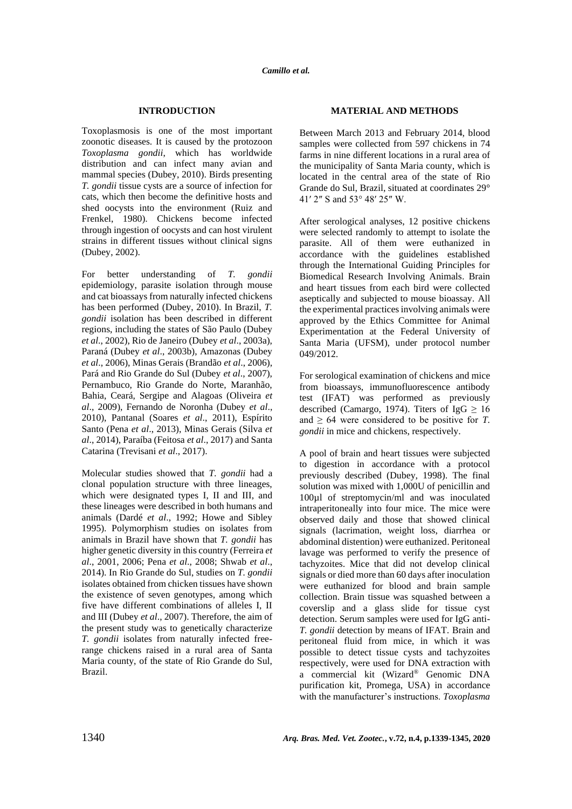# **INTRODUCTION**

Toxoplasmosis is one of the most important zoonotic diseases. It is caused by the protozoon *Toxoplasma gondii*, which has worldwide distribution and can infect many avian and mammal species (Dubey, 2010). Birds presenting *T. gondii* tissue cysts are a source of infection for cats, which then become the definitive hosts and shed oocysts into the environment (Ruiz and Frenkel, 1980). Chickens become infected through ingestion of oocysts and can host virulent strains in different tissues without clinical signs (Dubey, 2002).

For better understanding of *T. gondii*  epidemiology, parasite isolation through mouse and cat bioassays from naturally infected chickens has been performed (Dubey, 2010). In Brazil, *T. gondii* isolation has been described in different regions, including the states of São Paulo (Dubey *et al*., 2002), Rio de Janeiro (Dubey *et al*., 2003a), Paraná (Dubey *et al*., 2003b), Amazonas (Dubey *et al*., 2006), Minas Gerais (Brandão *et al*., 2006), Pará and Rio Grande do Sul (Dubey *et al*., 2007), Pernambuco, Rio Grande do Norte, Maranhão, Bahia, Ceará, Sergipe and Alagoas (Oliveira *et al*., 2009), Fernando de Noronha (Dubey *et al*., 2010), Pantanal (Soares *et al*., 2011), Espírito Santo (Pena *et al*., 2013), Minas Gerais (Silva *et al*., 2014), Paraíba (Feitosa *et al*., 2017) and Santa Catarina (Trevisani *et al*., 2017).

Molecular studies showed that *T. gondii* had a clonal population structure with three lineages, which were designated types I, II and III, and these lineages were described in both humans and animals (Dardé *et al*., 1992; Howe and Sibley 1995). Polymorphism studies on isolates from animals in Brazil have shown that *T. gondii* has higher genetic diversity in this country (Ferreira *et al*., 2001, 2006; Pena *et al*., 2008; Shwab *et al*., 2014). In Rio Grande do Sul, studies on *T. gondii*  isolates obtained from chicken tissues have shown the existence of seven genotypes, among which five have different combinations of alleles I, II and III (Dubey *et al*., 2007). Therefore, the aim of the present study was to genetically characterize *T. gondii* isolates from naturally infected freerange chickens raised in a rural area of Santa Maria county, of the state of Rio Grande do Sul, Brazil.

### **MATERIAL AND METHODS**

Between March 2013 and February 2014, blood samples were collected from 597 chickens in 74 farms in nine different locations in a rural area of the municipality of Santa Maria county, which is located in the central area of the state of Rio Grande do Sul, Brazil, situated at coordinates 29° 41′ 2″ S and 53° 48′ 25″ W.

After serological analyses, 12 positive chickens were selected randomly to attempt to isolate the parasite. All of them were euthanized in accordance with the guidelines established through the International Guiding Principles for Biomedical Research Involving Animals. Brain and heart tissues from each bird were collected aseptically and subjected to mouse bioassay. All the experimental practices involving animals were approved by the Ethics Committee for Animal Experimentation at the Federal University of Santa Maria (UFSM), under protocol number 049/2012.

For serological examination of chickens and mice from bioassays, immunofluorescence antibody test (IFAT) was performed as previously described (Camargo, 1974). Titers of IgG  $\geq 16$ and  $\geq 64$  were considered to be positive for *T*. *gondii* in mice and chickens, respectively.

A pool of brain and heart tissues were subjected to digestion in accordance with a protocol previously described (Dubey, 1998). The final solution was mixed with 1,000U of penicillin and 100µl of streptomycin/ml and was inoculated intraperitoneally into four mice. The mice were observed daily and those that showed clinical signals (lacrimation, weight loss, diarrhea or abdominal distention) were euthanized. Peritoneal lavage was performed to verify the presence of tachyzoites. Mice that did not develop clinical signals or died more than 60 days after inoculation were euthanized for blood and brain sample collection. Brain tissue was squashed between a coverslip and a glass slide for tissue cyst detection. Serum samples were used for IgG anti-*T. gondii* detection by means of IFAT. Brain and peritoneal fluid from mice, in which it was possible to detect tissue cysts and tachyzoites respectively, were used for DNA extraction with a commercial kit (Wizard® Genomic DNA purification kit, Promega, USA) in accordance with the manufacturer's instructions. *Toxoplasma*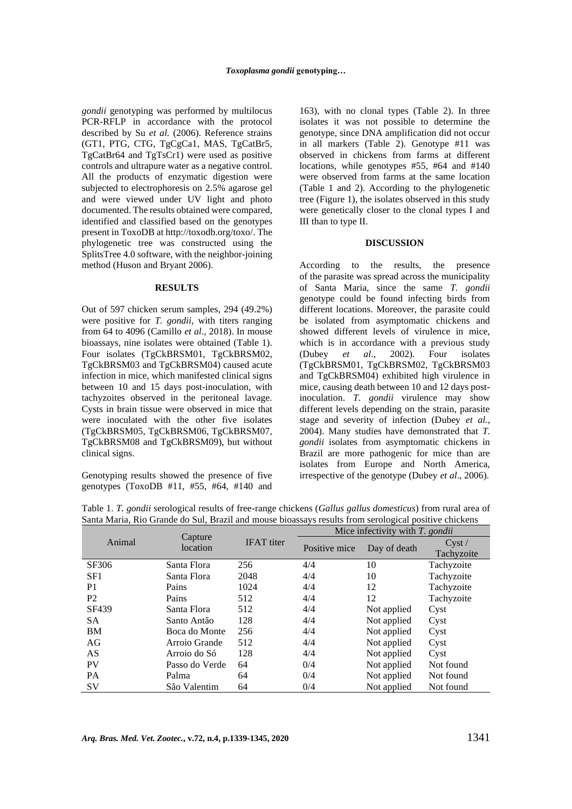*gondii* genotyping was performed by multilocus PCR-RFLP in accordance with the protocol described by Su *et al.* (2006). Reference strains (GT1, PTG, CTG, TgCgCa1, MAS, TgCatBr5, TgCatBr64 and TgTsCr1) were used as positive controls and ultrapure water as a negative control. All the products of enzymatic digestion were subjected to electrophoresis on 2.5% agarose gel and were viewed under UV light and photo documented. The results obtained were compared, identified and classified based on the genotypes present in ToxoDB a[t http://toxodb.org/toxo/.](http://toxodb.org/toxo/) The phylogenetic tree was constructed using the SplitsTree 4.0 software, with the neighbor-joining method (Huson and Bryant 2006).

#### **RESULTS**

Out of 597 chicken serum samples, 294 (49.2%) were positive for *T. gondii*, with titers ranging from 64 to 4096 (Camillo *et al*., 2018). In mouse bioassays, nine isolates were obtained (Table 1). Four isolates (TgCkBRSM01, TgCkBRSM02, TgCkBRSM03 and TgCkBRSM04) caused acute infection in mice, which manifested clinical signs between 10 and 15 days post-inoculation, with tachyzoites observed in the peritoneal lavage. Cysts in brain tissue were observed in mice that were inoculated with the other five isolates (TgCkBRSM05, TgCkBRSM06, TgCkBRSM07, TgCkBRSM08 and TgCkBRSM09), but without clinical signs.

Genotyping results showed the presence of five genotypes (ToxoDB #11, #55, #64, #140 and 163), with no clonal types (Table 2). In three isolates it was not possible to determine the genotype, since DNA amplification did not occur in all markers (Table 2). Genotype #11 was observed in chickens from farms at different locations, while genotypes #55, #64 and #140 were observed from farms at the same location (Table 1 and 2). According to the phylogenetic tree (Figure 1), the isolates observed in this study were genetically closer to the clonal types I and III than to type II.

#### **DISCUSSION**

According to the results, the presence of the parasite was spread across the municipality of Santa Maria, since the same *T. gondii*  genotype could be found infecting birds from different locations. Moreover, the parasite could be isolated from asymptomatic chickens and showed different levels of virulence in mice, which is in accordance with a previous study (Dubey *et al*., 2002). Four isolates (TgCkBRSM01, TgCkBRSM02, TgCkBRSM03 and TgCkBRSM04) exhibited high virulence in mice, causing death between 10 and 12 days postinoculation. *T. gondii* virulence may show different levels depending on the strain, parasite stage and severity of infection (Dubey *et al.*, 2004). Many studies have demonstrated that *T. gondii* isolates from asymptomatic chickens in Brazil are more pathogenic for mice than are isolates from Europe and North America, irrespective of the genotype (Dubey *et al*., 2006).

| Animal         | Capture<br>location | <b>IFAT</b> titer | Mice infectivity with T. gondii |              |                     |  |  |  |
|----------------|---------------------|-------------------|---------------------------------|--------------|---------------------|--|--|--|
|                |                     |                   | Positive mice                   | Day of death | Cyst/<br>Tachyzoite |  |  |  |
| SF306          | Santa Flora         | 256               | 4/4                             | 10           | Tachyzoite          |  |  |  |
| SF1            | Santa Flora         | 2048              | 4/4                             | 10           | Tachyzoite          |  |  |  |
| P <sub>1</sub> | Pains               | 1024              | 4/4                             | 12           | Tachyzoite          |  |  |  |
| P <sub>2</sub> | Pains               | 512               | 4/4                             | 12           | Tachyzoite          |  |  |  |
| SF439          | Santa Flora         | 512               | 4/4                             | Not applied  | Cyst                |  |  |  |
| <b>SA</b>      | Santo Antão         | 128               | 4/4                             | Not applied  | Cyst                |  |  |  |
| BM             | Boca do Monte       | 256               | 4/4                             | Not applied  | Cyst                |  |  |  |
| AG             | Arroio Grande       | 512               | 4/4                             | Not applied  | Cyst                |  |  |  |
| AS             | Arroio do Só        | 128               | 4/4                             | Not applied  | Cyst                |  |  |  |
| <b>PV</b>      | Passo do Verde      | 64                | 0/4                             | Not applied  | Not found           |  |  |  |
| <b>PA</b>      | Palma               | 64                | 0/4                             | Not applied  | Not found           |  |  |  |
| <b>SV</b>      | São Valentim        | 64                | 0/4                             | Not applied  | Not found           |  |  |  |

Table 1. *T. gondii* serological results of free-range chickens (*Gallus gallus domesticus*) from rural area of Santa Maria, Rio Grande do Sul, Brazil and mouse bioassays results from serological positive chickens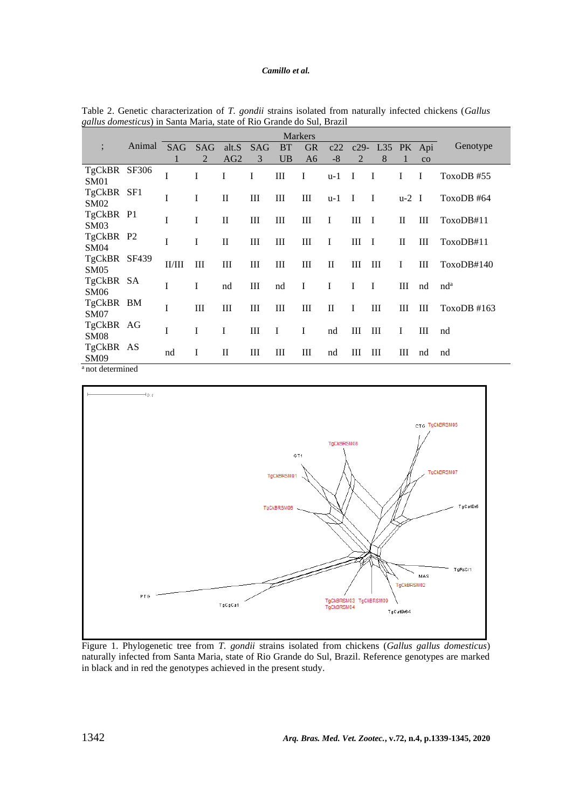# *Camillo et al.*

|                             | <b>Markers</b> |            |          |                 |            |           |                |              |                |                 |         |    |                 |
|-----------------------------|----------------|------------|----------|-----------------|------------|-----------|----------------|--------------|----------------|-----------------|---------|----|-----------------|
|                             | Animal         | <b>SAG</b> | SAG      | alt.S           | <b>SAG</b> | <b>BT</b> | <b>GR</b>      | c22          |                | c29- L35 PK Api |         |    | Genotype        |
|                             |                | 1          | 2        | AG <sub>2</sub> | 3          | <b>UB</b> | A <sub>6</sub> | $-8$         | $\overline{2}$ | 8               | 1       | CO |                 |
| TgCkBR SF306                |                | I          | I        | I               | I          | $\rm III$ | $\mathbf I$    | $u-1$        | I              | I               | I       | I  | ToxoDB #55      |
| SM01                        |                |            |          |                 |            |           |                |              |                |                 |         |    |                 |
| TgCkBR SF1                  |                | I          | $\bf{I}$ | $\mathbf{I}$    | Ш          | Ш         | Ш              | u-1          | $\mathbf I$    | $\bf{I}$        | $u-2$ I |    | ToxoDB #64      |
| SM02                        |                |            |          |                 |            |           |                |              |                |                 |         |    |                 |
| TgCkBR P1                   |                | I          | I        | П               | Ш          | Ш         | Ш              | I            | Ш              | $\mathbf I$     | П       | Ш  | ToxoDB#11       |
| SM03                        |                |            |          |                 |            |           |                |              |                |                 |         |    |                 |
| TgCkBR P2                   |                | I          | I        | $_{\rm II}$     | Ш          | Ш         | Ш              | I            | Ш              | $\mathbf I$     | H       | Ш  | ToxoDB#11       |
| <b>SM04</b>                 |                |            |          |                 |            |           |                |              |                |                 |         |    |                 |
| TgCkBR SF439                |                | II/III     | Ш        | Ш               | Ш          | Ш         | Ш              | П            | Ш              | Ш               | 1       | Ш  | ToxoDB#140      |
| SM <sub>05</sub>            |                |            |          |                 |            |           |                |              |                |                 |         |    |                 |
| TgCkBR SA                   |                | I          | I        | nd              | Ш          | nd        | $\bf{I}$       | I            | I              | $\bf{I}$        | Ш       | nd | nd <sup>a</sup> |
| SM06                        |                |            |          |                 |            |           |                |              |                |                 |         |    |                 |
| TgCkBR BM                   |                | I          | Ш        | Ш               | Ш          | Ш         | Ш              | $\mathbf{I}$ | I              | Ш               | Ш       | Ш  | ToxoDB #163     |
| <b>SM07</b>                 |                |            |          |                 |            |           |                |              |                |                 |         |    |                 |
| TgCkBR AG                   |                | I          | I        | I               | Ш          | I         | $\bf{I}$       | nd           | Ш              | Ш               | I       | Ш  | nd              |
| <b>SM08</b>                 |                |            |          |                 |            |           |                |              |                |                 |         |    |                 |
| TgCkBR AS                   |                | nd         | I        | $\mathbf{I}$    | Ш          | Ш         | Ш              | nd           | Ш              | Ш               | Ш       | nd | nd              |
| <b>SM09</b>                 |                |            |          |                 |            |           |                |              |                |                 |         |    |                 |
| <sup>a</sup> not determined |                |            |          |                 |            |           |                |              |                |                 |         |    |                 |

Table 2. Genetic characterization of *T. gondii* strains isolated from naturally infected chickens (*Gallus gallus domesticus*) in Santa Maria, state of Rio Grande do Sul, Brazil



Figure 1. Phylogenetic tree from *T. gondii* strains isolated from chickens (*Gallus gallus domesticus*) naturally infected from Santa Maria, state of Rio Grande do Sul, Brazil. Reference genotypes are marked in black and in red the genotypes achieved in the present study.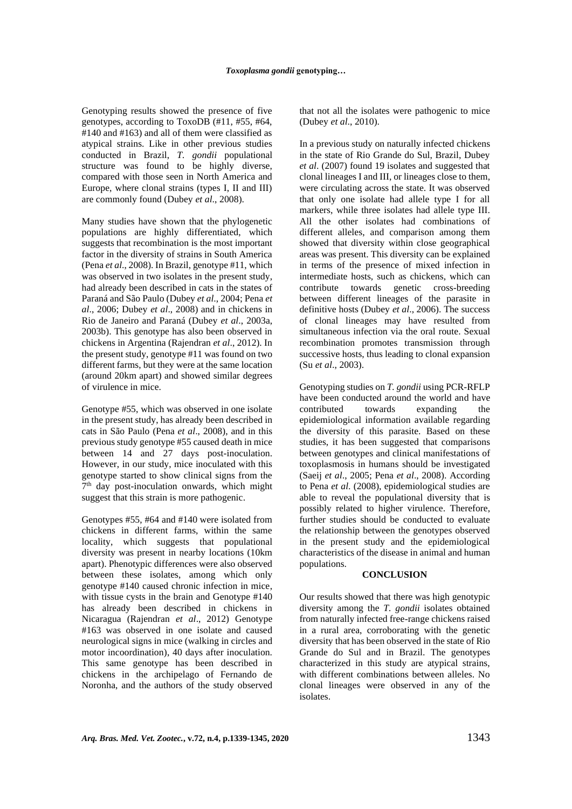Genotyping results showed the presence of five genotypes, according to ToxoDB (#11, #55, #64, #140 and #163) and all of them were classified as atypical strains. Like in other previous studies conducted in Brazil, *T. gondii* populational structure was found to be highly diverse, compared with those seen in North America and Europe, where clonal strains (types I, II and III) are commonly found (Dubey *et al*., 2008).

Many studies have shown that the phylogenetic populations are highly differentiated, which suggests that recombination is the most important factor in the diversity of strains in South America (Pena *et al*., 2008). In Brazil, genotype #11, which was observed in two isolates in the present study, had already been described in cats in the states of Paraná and São Paulo (Dubey *et al*., 2004; Pena *et al*., 2006; Dubey *et al*., 2008) and in chickens in Rio de Janeiro and Paraná (Dubey *et al*., 2003a, 2003b). This genotype has also been observed in chickens in Argentina (Rajendran *et al*., 2012). In the present study, genotype #11 was found on two different farms, but they were at the same location (around 20km apart) and showed similar degrees of virulence in mice.

Genotype #55, which was observed in one isolate in the present study, has already been described in cats in São Paulo (Pena *et al*., 2008), and in this previous study genotype #55 caused death in mice between 14 and 27 days post-inoculation. However, in our study, mice inoculated with this genotype started to show clinical signs from the 7<sup>th</sup> day post-inoculation onwards, which might suggest that this strain is more pathogenic.

Genotypes #55, #64 and #140 were isolated from chickens in different farms, within the same locality, which suggests that populational diversity was present in nearby locations (10km apart). Phenotypic differences were also observed between these isolates, among which only genotype #140 caused chronic infection in mice, with tissue cysts in the brain and Genotype #140 has already been described in chickens in Nicaragua (Rajendran *et al*., 2012) Genotype #163 was observed in one isolate and caused neurological signs in mice (walking in circles and motor incoordination), 40 days after inoculation. This same genotype has been described in chickens in the archipelago of Fernando de Noronha, and the authors of the study observed that not all the isolates were pathogenic to mice (Dubey *et al*., 2010).

In a previous study on naturally infected chickens in the state of Rio Grande do Sul, Brazil, Dubey *et al*. (2007) found 19 isolates and suggested that clonal lineages I and III, or lineages close to them, were circulating across the state. It was observed that only one isolate had allele type I for all markers, while three isolates had allele type III. All the other isolates had combinations of different alleles, and comparison among them showed that diversity within close geographical areas was present. This diversity can be explained in terms of the presence of mixed infection in intermediate hosts, such as chickens, which can contribute towards genetic cross-breeding between different lineages of the parasite in definitive hosts (Dubey *et al*., 2006). The success of clonal lineages may have resulted from simultaneous infection via the oral route. Sexual recombination promotes transmission through successive hosts, thus leading to clonal expansion (Su *et al*., 2003).

Genotyping studies on *T. gondii* using PCR-RFLP have been conducted around the world and have contributed towards expanding the epidemiological information available regarding the diversity of this parasite. Based on these studies, it has been suggested that comparisons between genotypes and clinical manifestations of toxoplasmosis in humans should be investigated (Saeij *et al*., 2005; Pena *et al*., 2008). According to Pena *et al*. (2008), epidemiological studies are able to reveal the populational diversity that is possibly related to higher virulence. Therefore, further studies should be conducted to evaluate the relationship between the genotypes observed in the present study and the epidemiological characteristics of the disease in animal and human populations.

# **CONCLUSION**

Our results showed that there was high genotypic diversity among the *T. gondii* isolates obtained from naturally infected free-range chickens raised in a rural area, corroborating with the genetic diversity that has been observed in the state of Rio Grande do Sul and in Brazil. The genotypes characterized in this study are atypical strains, with different combinations between alleles. No clonal lineages were observed in any of the isolates.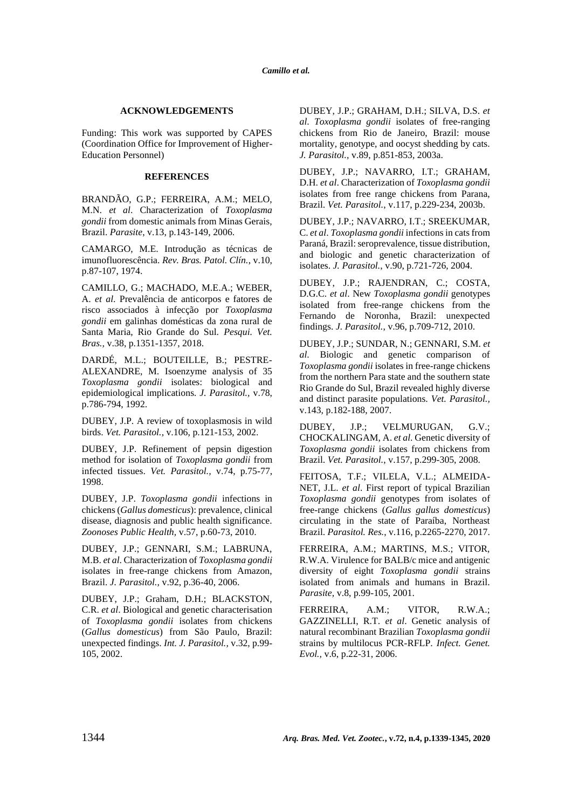# **ACKNOWLEDGEMENTS**

Funding: This work was supported by CAPES (Coordination Office for Improvement of Higher-Education Personnel)

# **REFERENCES**

BRANDÃO, G.P.; FERREIRA, A.M.; MELO, M.N. *et al*. Characterization of *Toxoplasma gondii* from domestic animals from Minas Gerais, Brazil. *Parasite*, v.13, p.143-149, 2006.

CAMARGO, M.E. Introdução as técnicas de imunofluorescência. *Rev. Bras. Patol. Clín.*, v.10, p.87-107, 1974.

CAMILLO, G.; MACHADO, M.E.A.; WEBER, A. *et al*. Prevalência de anticorpos e fatores de risco associados à infecção por *Toxoplasma gondii* em galinhas domésticas da zona rural de Santa Maria, Rio Grande do Sul. *Pesqui. Vet. Bras.,* v.38, p.1351-1357, 2018.

DARDÉ, M.L.; BOUTEILLE, B.; PESTRE-ALEXANDRE, M. Isoenzyme analysis of 35 *Toxoplasma gondii* isolates: biological and epidemiological implications*. J. Parasitol.,* v.78, p.786-794, 1992.

DUBEY, J.P. A review of toxoplasmosis in wild birds. *Vet. Parasitol.*, v.106, p.121-153, 2002.

DUBEY, J.P. Refinement of pepsin digestion method for isolation of *Toxoplasma gondii* from infected tissues. *Vet. Parasitol.,* v.74, p.75-77, 1998.

DUBEY, J.P. *Toxoplasma gondii* infections in chickens (*Gallus domesticus*): prevalence, clinical disease, diagnosis and public health significance. *Zoonoses Public Health,* v.57, p.60-73, 2010.

DUBEY, J.P.; GENNARI, S.M.; LABRUNA, M.B. *et al*. Characterization of *Toxoplasma gondii* isolates in free-range chickens from Amazon, Brazil. *J. Parasitol.,* v.92, p.36-40, 2006.

DUBEY, J.P.; Graham, D.H.; BLACKSTON, C.R. *et al*. Biological and genetic characterisation of *Toxoplasma gondii* isolates from chickens (*Gallus domesticus*) from São Paulo, Brazil: unexpected findings. *Int. J. Parasitol.,* v.32, p.99- 105, 2002.

DUBEY, J.P.; GRAHAM, D.H.; SILVA, D.S. *et al*. *Toxoplasma gondii* isolates of free-ranging chickens from Rio de Janeiro, Brazil: mouse mortality, genotype, and oocyst shedding by cats. *J. Parasitol.,* v.89, p.851-853, 2003a.

DUBEY, J.P.; NAVARRO, I.T.; GRAHAM, D.H. *et al*. Characterization of *Toxoplasma gondii* isolates from free range chickens from Parana, Brazil. *Vet. Parasitol.*, v.117, p.229-234, 2003b.

DUBEY, J.P.; NAVARRO, I.T.; SREEKUMAR, C. *et al*. *Toxoplasma gondii* infections in cats from Paraná, Brazil: seroprevalence, tissue distribution, and biologic and genetic characterization of isolates. *J. Parasitol.*, v.90, p.721-726, 2004.

DUBEY, J.P.; RAJENDRAN, C.; COSTA, D.G.C. *et al*. New *Toxoplasma gondii* genotypes isolated from free-range chickens from the Fernando de Noronha, Brazil: unexpected findings. *J. Parasitol.*, v.96, p.709-712, 2010.

DUBEY, J.P.[; SUNDAR,](http://www.sciencedirect.com/science/article/pii/S0304401706004687) N.[; GENNARI,](http://www.sciencedirect.com/science/article/pii/S0304401706004687) S.M. *et al*. Biologic and genetic comparison of *Toxoplasma gondii* isolates in free-range chickens from the northern Para state and the southern state Rio Grande do Sul, Brazil revealed highly diverse and distinct parasite populations. *Vet. Parasitol.,* v.143, p.182-188, 2007.

DUBEY, J.P.; VELMURUGAN, G.V.; CHOCKALINGAM, A. *et al*. Genetic diversity of *Toxoplasma gondii* isolates from chickens from Brazil. *Vet. Parasitol.*, v.157, p.299-305, 2008.

FEITOSA, T.F.; VILELA, V.L.; ALMEIDA-NET, J.L. *et al*. First report of typical Brazilian *Toxoplasma gondii* genotypes from isolates of free-range chickens (*Gallus gallus domesticus*) circulating in the state of Paraíba, Northeast Brazil. *Parasitol. Res.*, v.116, p.2265-2270, 2017.

FERREIRA, A.M.; MARTINS, M.S.; VITOR, R.W.A. Virulence for BALB/c mice and antigenic diversity of eight *Toxoplasma gondii* strains isolated from animals and humans in Brazil. *Parasite,* v.8, p.99-105, 2001.

FERREIRA, A.M.; VITOR, R.W.A.; GAZZINELLI, R.T. *et al*. Genetic analysis of natural recombinant Brazilian *Toxoplasma gondii* strains by multilocus PCR-RFLP. *Infect. Genet. Evol.,* v.6, p.22-31, 2006.